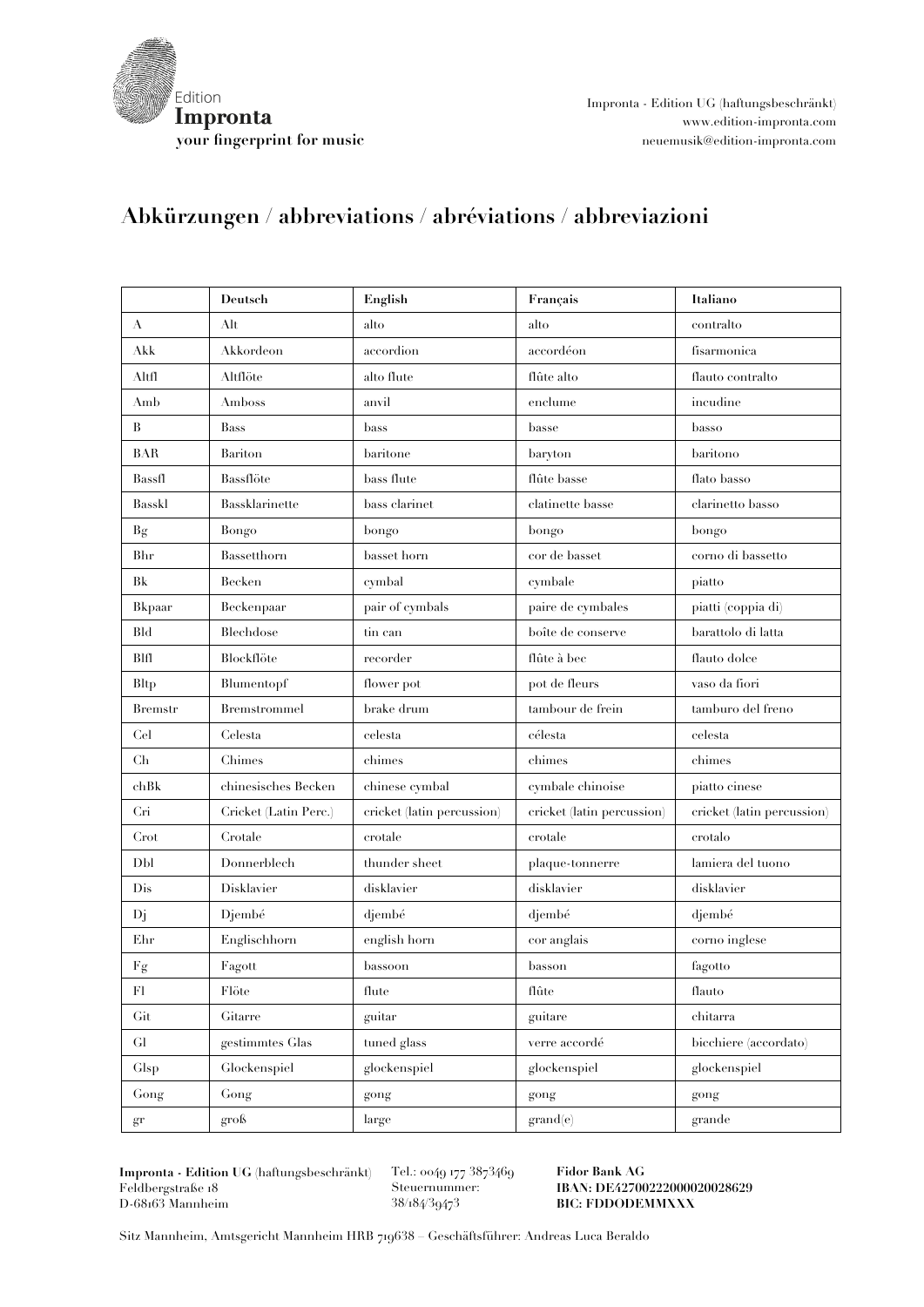

Impronta - Edition UG (haftungsbeschränkt) www.edition-impronta.com **your fingerprint for music** neuemusik@edition-impronta.com

## **Abkürzungen / abbreviations / abréviations / abbreviazioni**

|                     | Deutsch               | English                    | Français                   | Italiano                   |
|---------------------|-----------------------|----------------------------|----------------------------|----------------------------|
| A                   | Alt                   | alto                       | alto                       | contralto                  |
| Akk                 | Akkordeon             | accordion                  | accordéon                  | fisarmonica                |
| Altfl               | Altflöte              | alto flute                 | $\hat{\Pi}$ ûte alto       | flauto contralto           |
| Amb                 | Amboss                | anvil                      | enclume                    | incudine                   |
| B                   | <b>Bass</b>           | bass                       | basse                      | basso                      |
| <b>BAR</b>          | Bariton               | baritone                   | baryton                    | baritono                   |
| Bassfl              | Bassflöte             | bass flute                 | flûte basse                | flato basso                |
| Basskl              | Bassklarinette        | bass clarinet              | clatinette basse           | clarinetto basso           |
| Bg                  | Bongo                 | bongo                      | bongo                      | bongo                      |
| Bhr                 | Bassetthorn           | basset horn                | cor de basset              | corno di bassetto          |
| Bk                  | Becken                | cymbal                     | cymbale                    | piatto                     |
| Bkpaar              | Beckenpaar            | pair of cymbals            | paire de cymbales          | piatti (coppia di)         |
| <b>Bld</b>          | Blechdose             | tin can                    | boîte de conserve          | barattolo di latta         |
| BIII                | Blockflöte            | recorder                   | flûte à bec                | flauto dolce               |
| <b>Bltp</b>         | Blumentopf            | flower pot                 | pot de fleurs              | vaso da fiori              |
| <b>Bremstr</b>      | Bremstrommel          | brake drum                 | tambour de frein           | tamburo del freno          |
| Cel                 | Celesta               | celesta                    | célesta                    | celesta                    |
| Ch                  | Chimes                | chimes                     | chimes                     | chimes                     |
| chBk                | chinesisches Becken   | chinese cymbal             | cymbale chinoise           | piatto cinese              |
| Cri                 | Cricket (Latin Perc.) | cricket (latin percussion) | cricket (latin percussion) | cricket (latin percussion) |
| Crot                | Crotale               | crotale                    | crotale                    | crotalo                    |
| Dbl                 | Donnerblech           | thunder sheet              | plaque-tonnerre            | lamiera del tuono          |
| Dis                 | Disklavier            | disklavier                 | disklavier                 | disklavier                 |
| Dj                  | Djembé                | djembé                     | djembé                     | djembé                     |
| Ehr                 | Englischhorn          | english horn               | cor anglais                | corno inglese              |
| Fg                  | Fagott                | bassoon                    | basson                     | fagotto                    |
| F1                  | Flöte                 | flute                      | flûte                      | flauto                     |
| Gi                  | Gitarre               | guitar                     | guitare                    | chitarra                   |
| ${\rm Gl}$          | gestimmtes Glas       | tuned glass                | verre accordé              | bicchiere (accordato)      |
| Glsp                | Glockenspiel          | glockenspiel               | glockenspiel               | glockenspiel               |
| Gong                | Gong                  | gong                       | gong                       | gong                       |
| $\operatorname{gr}$ | groß                  | large                      | grand(e)                   | grande                     |

**Impronta - Edition UG (**haftungsbeschränkt) Feldbergstraße 18 D-68163 Mannheim

Tel.: 0049 177 3873469 Steuernummer: 38/184/39473

**Fidor Bank AG IBAN: DE42700222000020028629 BIC: FDDODEMMXXX**

Sitz Mannheim, Amtsgericht Mannheim HRB 719638 – Geschäftsführer: Andreas Luca Beraldo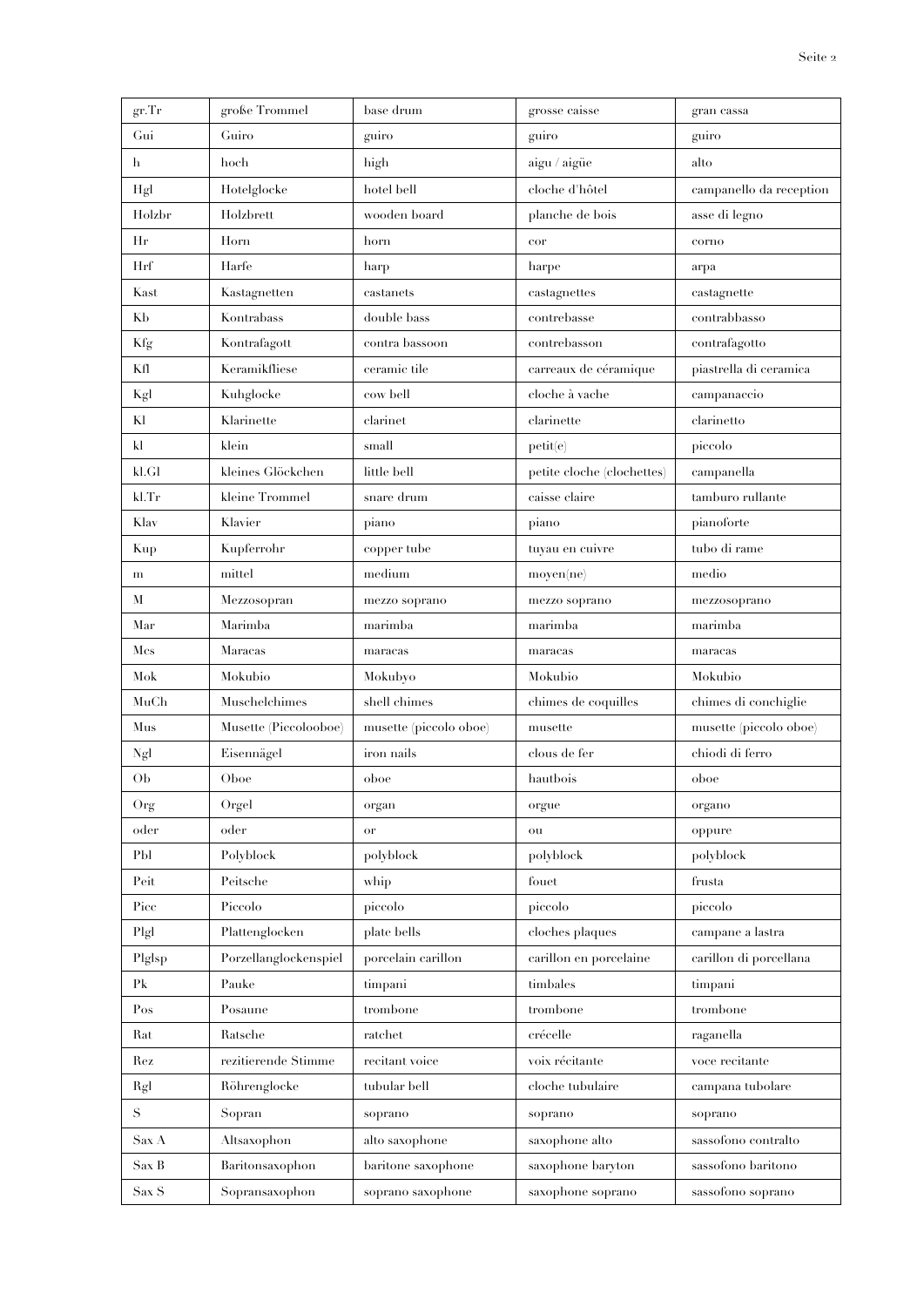| gr. Tr          | große Trommel         | base drum              | grosse caisse              | gran cassa              |
|-----------------|-----------------------|------------------------|----------------------------|-------------------------|
| Gui             | Guiro                 | guiro                  | guiro                      | guiro                   |
| h               | hoch                  | high                   | aigu / aigüe               | alto                    |
| Hgl             | Hotelglocke           | hotel bell             | cloche d'hôtel             | campanello da reception |
| Holzbr          | Holzbrett             | wooden board           | planche de bois            | asse di legno           |
| Нr              | Horn                  | horn                   | cor                        | corno                   |
| Hrf             | Harfe                 | harp                   | harpe                      | arpa                    |
| Kast            | Kastagnetten          | castanets              | castagnettes               | castagnette             |
| Kb              | Kontrabass            | double bass            | contrebasse                | contrabbasso            |
| Kfg             | Kontrafagott          | contra bassoon         | contrebasson               | contrafagotto           |
| Kſl             | Keramikfliese         | ceramic tile           | carreaux de céramique      | piastrella di ceramica  |
| Kgl             | Kuhglocke             | cow bell               | cloche à vache             | campanaccio             |
| Kl              | Klarinette            | clarinet               | clarinette                 | clarinetto              |
| kl              | klein                 | small                  | petit(e)                   | piccolo                 |
| kl.Gl           | kleines Glöckchen     | little bell            | petite cloche (clochettes) | campanella              |
| kl.Tr           | kleine Trommel        | snare drum             | caisse claire              | tamburo rullante        |
| Klav            | Klavier               | piano                  | piano                      | pianoforte              |
| Kup             | Kupferrohr            | copper tube            | tuyau en cuivre            | tubo di rame            |
| m               | mittel                | medium                 | moyen(ne)                  | medio                   |
| M               | Mezzosopran           | mezzo soprano          | mezzo soprano              | mezzosoprano            |
| Mar             | Marimba               | marimba                | marimba                    | marimba                 |
| Mcs             | Maracas               | maracas                | maracas                    | maracas                 |
| Mok             | Mokubio               | Mokubyo                | Mokubio                    | Mokubio                 |
| MuCh            | Muschelchimes         | shell chimes           | chimes de coquilles        | chimes di conchiglie    |
| Mus             | Musette (Piccolooboe) | musette (piccolo oboe) | muselle                    | musette (piccolo oboe)  |
| Ngl             | Eisennägel            | iron nails             | clous de fer               | chiodi di ferro         |
| Ob              | Oboe                  | oboe                   | hautbois                   | oboe                    |
| Org             | Orgel                 | organ                  | orgue                      | organo                  |
| oder            | oder                  | or                     | ou                         | oppure                  |
| P <sub>bl</sub> | Polyblock             | polyblock              | polyblock                  | polyblock               |
| Peit            | Peitsche              | whip                   | fouet                      | frusta                  |
| Picc            | Piccolo               | piccolo                | piccolo                    | piccolo                 |
| Plgl            | Plattenglocken        | plate bells            | cloches plaques            | campane a lastra        |
| Plglsp          | Porzellanglockenspiel | porcelain carillon     | carillon en porcelaine     | carillon di porcellana  |
| P <sub>k</sub>  | Pauke                 | timpani                | timbales                   | timpani                 |
| Pos             | Posaune               | trombone               | trombone                   | trombone                |
| Rat             | Ratsche               | ratchet                | crécelle                   | raganella               |
| Rez             | rezitierende Stimme   | recitant voice         | voix récitante             | voce recitante          |
| Rgl             | Röhrenglocke          | tubular bell           | cloche tubulaire           | campana tubolare        |
| $\mathbf S$     | Sopran                | soprano                | soprano                    | soprano                 |
| Sax A           | Altsaxophon           | alto saxophone         | saxophone alto             | sassofono contralto     |
| Sax B           | Baritonsaxophon       | baritone saxophone     | saxophone baryton          | sassofono baritono      |
| Sax S           | Sopransaxophon        | soprano saxophone      | saxophone soprano          | sassofono soprano       |